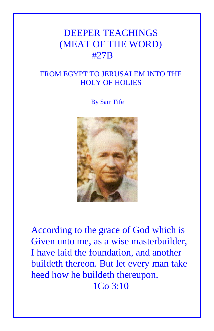# DEEPER TEACHINGS (MEAT OF THE WORD) #27B

## FROM EGYPT TO JERUSALEM INTO THE HOLY OF HOLIES

By Sam Fife



According to the grace of God which is Given unto me, as a wise masterbuilder, I have laid the foundation, and another buildeth thereon. But let every man take heed how he buildeth thereupon. 1Co 3:10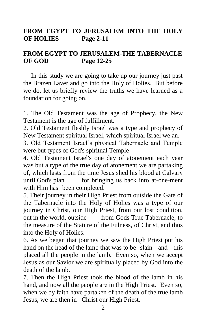### **FROM EGYPT TO JERUSALEM INTO THE HOLY OF HOLIES Page 2-11**

### **FROM EGYPT TO JERUSALEM-THE TABERNACLE OF GOD Page 12-25**

In this study we are going to take up our journey just past the Brazen Laver and go into the Holy of Holies. But before we do, let us briefly review the truths we have learned as a foundation for going on.

1. The Old Testament was the age of Prophecy, the New Testament is the age of fulfillment.

2. Old Testament fleshly Israel was a type and prophecy of New Testament spiritual Israel, which spiritual Israel we an.

3. Old Testament Israel's physical Tabernacle and Temple were but types of God's spiritual Temple

4. Old Testament Israel's one day of atonement each year was but a type of the true day of atonement we are partaking of, which lasts from the time Jesus shed his blood at Calvary until God's plan for bringing us back into at-one-ment with Him has been completed.

5. Their journey in their High Priest from outside the Gate of the Tabernacle into the Holy of Holies was a type of our journey in Christ, our High Priest, from our lost condition, out in the world, outside from Gods True Tabernacle, to the measure of the Stature of the Fulness, of Christ, and thus into the Holy of Holies.

6. As we began that journey we saw the High Priest put his hand on the head of the lamb that was to be slain and this placed all the people in the lamb. Even so, when we accept Jesus as our Savior we are spiritually placed by God into the death of the lamb.

7. Then the High Priest took the blood of the lamb in his hand, and now all the people are in the High Priest. Even so, when we by faith have partaken of the death of the true lamb Jesus, we are then in Christ our High Priest.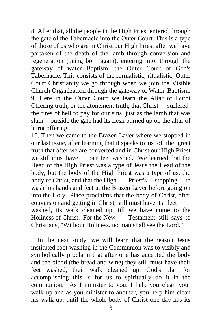8. After that, all the people in the High Priest entered through the gate of the Tabernacle into the Outer Court. This is a type of those of us who are in Christ our High Priest after we have partaken of the death of the lamb through conversion and regeneration (being born again), entering into, through the gateway of water Baptism, the Outer Court of God's Tabernacle. This consists of the formalistic, ritualistic, Outer Court Christianity we go through when we join the Visible Church Organization through the gateway of Water Baptism. 9. Here in the Outer Court we learn the Altar of Burnt Offering truth, or the atonement truth, that Christ suffered the fires of hell to pay for our sins, just as the lamb that was slain outside the gate had its flesh burned up on the altar of burnt offering.

10. Then we came to the Brazen Laver where we stopped in our last issue, after learning that it speaks to us of the great truth that after we are converted and in Christ our High Priest we still must have our feet washed. We learned that the Head of the High Priest was a type of Jesus the Head of the body, but the body of the High Priest was a type of us, the body of Christ, and that the High Priest's stopping to wash his hands and feet at the Brazen Laver before going on into the Holy Place proclaims that the body of Christ, after conversion and getting in Christ, still must have its feet washed, its walk cleaned up, till we have come to the Holiness of Christ. For the New Testament still says to Christians, "Without Holiness, no man shall see the Lord."

 In the next study, we will learn that the reason Jesus instituted foot washing in the Communion was to visibly and symbolically proclaim that after one has accepted the body and the blood (the bread and wine) they still must have their feet washed, their walk cleaned up. God's plan for accomplishing this is for us to spiritually do it in the communion. As I minister to you, I help you clean your walk up and as you minister to another, you help him clean his walk up, until the whole body of Christ one day has its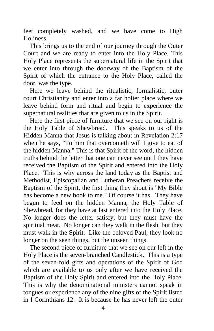feet completely washed, and we have come to High Holiness.

 This brings us to the end of our journey through the Outer Court and we are ready to enter into the Holy Place. This Holy Place represents the supernatural life in the Spirit that we enter into through the doorway of the Baptism of the Spirit of which the entrance to the Holy Place, called the door, was the type.

 Here we leave behind the ritualistic, formalistic, outer court Christianity and enter into a far holier place where we leave behind form and ritual and begin to experience the supernatural realities that are given to us in the Spirit.

 Here the first piece of furniture that we see on our right is the Holy Table of Shewbread. This speaks to us of the Hidden Manna that Jesus is talking about in Revelation 2:17 when he says, "To him that overcometh will I give to eat of the hidden Manna." This is that Spirit of the word, the hidden truths behind the letter that one can never see until they have received the Baptism of the Spirit and entered into the Holy Place. This is why across the land today as the Baptist and Methodist, Episcopalian and Lutheran Preachers receive the Baptism of the Spirit, the first thing they shout is "My Bible has become a new book to me." Of course it has. They have begun to feed on the hidden Manna, the Holy Table of Shewbread, for they have at last entered into the Holy Place. No longer does the letter satisfy, but they must have the spiritual meat. No longer can they walk in the flesh, but they must walk in the Spirit. Like the beloved Paul, they look no longer on the seen things, but the unseen things.

 The second piece of furniture that we see on our left in the Holy Place is the seven-branched Candlestick. This is a type of the seven-fold gifts and operations of the Spirit of God which are available to us only after we have received the Baptism of the Holy Spirit and entered into the Holy Place. This is why the denominational ministers cannot speak in tongues or experience any of the nine gifts of the Spirit listed in I Corinthians 12. It is because he has never left the outer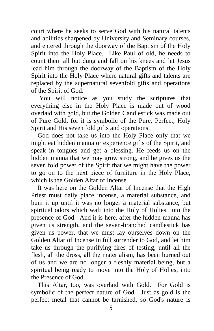court where he seeks to serve God with his natural talents and abilities sharpened by University and Seminary courses, and entered through the doorway of the Baptism of the Holy Spirit into the Holy Place. Like Paul of old, he needs to count them all but dung and fall on his knees and let Jesus lead him through the doorway of the Baptism of the Holy Spirit into the Holy Place where natural gifts and talents are replaced by the supernatural sevenfold gifts and operations of the Spirit of God.

 You will notice as you study the scriptures that everything else in the Holy Place is made out of wood overlaid with gold, but the Golden Candlestick was made out of Pure Gold, for it is symbolic of the Pure, Perfect, Holy Spirit and His seven fold gifts and operations.

 God does not take us into the Holy Place only that we might eat hidden manna or experience gifts of the Spirit, and speak in tongues and get a blessing. He feeds us on the hidden manna that we may grow strong, and he gives us the seven fold power of the Spirit that we might have the power to go on to the next piece of furniture in the Holy Place, which is the Golden Altar of Incense.

 It was here on the Golden Altar of Incense that the High Priest must daily place incense, a material substance, and bum it up until it was no longer a material substance, but spiritual odors which waft into the Holy of Holies, into the presence of God. And it is here, after the hidden manna has given us strength, and the seven-branched candlestick has given us power, that we must lay ourselves down on the Golden Altar of Incense in full surrender to God, and let him take us through the purifying fires of testing, until all the flesh, all the dross, all the materialism, has been burned out of us and we are no longer a fleshly material being, but a spiritual being ready to move into the Holy of Holies, into the Presence of God.

 This Altar, too, was overlaid with Gold. For Gold is symbolic of the perfect nature of God. Just as gold is the perfect metal that cannot be tarnished, so God's nature is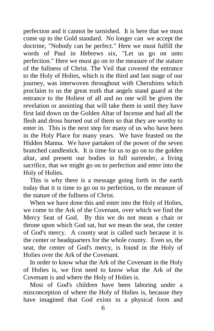perfection and it cannot be tarnished. It is here that we must come up to the Gold standard. No longer can we accept the doctrine, "Nobody can be perfect." Here we must fulfill the words of Paul in Hebrews six, "Let us go on unto perfection." Here we must go on to the measure of the stature of the fullness of Christ. The Veil that covered the entrance to the Holy of Holies, which is the third and last stage of our journey, was interwoven throughout with Cherubims which proclaim to us the great truth that angels stand guard at the entrance to the Holiest of all and no one will be given the revelation or anointing that will take them in until they have first laid down on the Golden Altar of Incense and had all the flesh and dross burned out of them so that they are worthy to enter in. This is the next step for many of us who have been in the Holy Place for many years. We have feasted on the Hidden Manna. We have partaken of the power of the seven branched candlestick. It is time for us to go on to the golden altar, and present our bodies in full surrender, a living sacrifice, that we might go on to perfection and enter into the Holy of Holies.

 This is why there is a message going forth in the earth today that it is time to go on to perfection, to the measure of the stature of the fullness of Christ.

 When we have done this and enter into the Holy of Holies, we come to the Ark of the Covenant, over which we find the Mercy Seat of God. By this we do not mean a chair or throne upon which God sat, but we mean the seat, the center of God's mercy. A county seat is called such because it is the center or headquarters for the whole county. Even so, the seat, the center of God's mercy, is found in the Holy of Holies over the Ark of the Covenant.

 In order to know what the Ark of the Covenant in the Holy of Holies is, we first need to know what the Ark of the Covenant is and where the Holy of Holies is.

 Most of God's children have been laboring under a misconception of where the Holy of Holies is, because they have imagined that God exists in a physical form and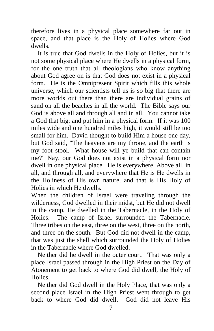therefore lives in a physical place somewhere far out in space, and that place is the Holy of Holies where God dwells.

 It is true that God dwells in the Holy of Holies, but it is not some physical place where He dwells in a physical form, for the one truth that all theologians who know anything about God agree on is that God does not exist in a physical form. He is the Omnipresent Spirit which fills this whole universe, which our scientists tell us is so big that there are more worlds out there than there are individual grains of sand on all the beaches in all the world. The Bible says our God is above all and through all and in all. You cannot take a God that big: and put him in a physical form. If it was 100 miles wide and one hundred miles high, it would still be too small for him. David thought to build Him a house one day, but God said, "The heavens are my throne, and the earth is my foot stool. What house will ye build that can contain me?" Nay, our God does not exist in a physical form nor dwell in one physical place. He is everywhere. Above all, in all, and through all, and everywhere that He is He dwells in the Holiness of His own nature, and that is His Holy of Holies in which He dwells.

When the children of Israel were traveling through the wilderness, God dwelled in their midst, but He did not dwell in the camp, He dwelled in the Tabernacle, in the Holy of Holies. The camp of Israel surrounded the Tabernacle. Three tribes on the east, three on the west, three on the north, and three on the south. But God did not dwell in the camp, that was just the shell which surrounded the Holy of Holies in the Tabernacle where God dwelled.

 Neither did he dwell in the outer court. That was only a place Israel passed through in the High Priest on the Day of Atonement to get back to where God did dwell, the Holy of Holies.

 Neither did God dwell in the Holy Place, that was only a second place Israel in the High Priest went through to get back to where God did dwell. God did not leave His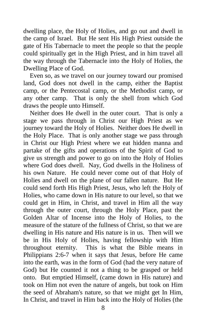dwelling place, the Holy of Holies, and go out and dwell in the camp of Israel. But He sent His High Priest outside the gate of His Tabernacle to meet the people so that the people could spiritually get in the High Priest, and in him travel all the way through the Tabernacle into the Holy of Holies, the Dwelling Place of God.

 Even so, as we travel on our journey toward our promised land, God does not dwell in the camp, either the Baptist camp, or the Pentecostal camp, or the Methodist camp, or any other camp. That is only the shell from which God draws the people unto Himself.

 Neither does He dwell in the outer court. That is only a stage we pass through in Christ our High Priest as we journey toward the Holy of Holies. Neither does He dwell in the Holy Place. That is only another stage we pass through in Christ our High Priest where we eat hidden manna and partake of the gifts and operations of the Spirit of God to give us strength and power to go on into the Holy of Holies where God does dwell. Nay, God dwells in the Holiness of his own Nature. He could never come out of that Holy of Holies and dwell on the plane of our fallen nature. But He could send forth His High Priest, Jesus, who left the Holy of Holies, who came down in His nature to our level, so that we could get in Him, in Christ, and travel in Him all the way through the outer court, through the Holy Place, past the Golden Altar of Incense into the Holy of Holies, to the measure of the stature of the fullness of Christ, so that we are dwelling in His nature and His nature is in us. Then will we be in His Holy of Holies, having fellowship with Him throughout eternity. This is what the Bible means in Philippians 2:6-7 when it says that Jesus, before He came into the earth, was in the form of God (had the very nature of God) but He counted it not a thing to be grasped or held onto. But emptied Himself, (came down in His nature) and took on Him not even the nature of angels, but took on Him the seed of Abraham's nature, so that we might get In Him, In Christ, and travel in Him back into the Holy of Holies (the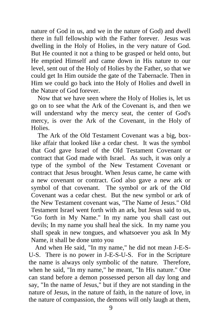nature of God in us, and we in the nature of God) and dwell there in full fellowship with the Father forever. Jesus was dwelling in the Holy of Holies, in the very nature of God. But He counted it not a thing to be grasped or held onto, but He emptied Himself and came down in His nature to our level, sent out of the Holy of Holies by the Father, so that we could get In Him outside the gate of the Tabernacle. Then in Him we could go back into the Holy of Holies and dwell in the Nature of God forever.

 Now that we have seen where the Holy of Holies is, let us go on to see what the Ark of the Covenant is, and then we will understand why the mercy seat, the center of God's mercy, is over the Ark of the Covenant, in the Holy of **Holies** 

 The Ark of the Old Testament Covenant was a big, boxlike affair that looked like a cedar chest. It was the symbol that God gave Israel of the Old Testament Covenant or contract that God made with Israel. As such, it was only a type of the symbol of the New Testament Covenant or contract that Jesus brought. When Jesus came, he came with a new covenant or contract. God also gave a new ark or symbol of that covenant. The symbol or ark of the Old Covenant was a cedar chest. But the new symbol or ark of the New Testament covenant was, "The Name of Jesus." Old Testament Israel went forth with an ark, but Jesus said to us, "Go forth in My Name." In my name you shall cast out devils; In my name you shall heal the sick. In my name you shall speak in new tongues, and whatsoever you ask In My Name, it shall be done unto you

 And when He said, "In my name," he did not mean J-E-S-U-S. There is no power in J-E-S-U-S. For in the Scripture the name is always only symbolic of the nature. Therefore, when he said, "In my name," he meant, "In His nature." One can stand before a demon possessed person all day long and say, "In the name of Jesus," but if they are not standing in the nature of Jesus, in the nature of faith, in the nature of love, in the nature of compassion, the demons will only laugh at them,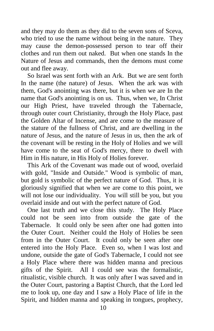and they may do them as they did to the seven sons of Sceva, who tried to use the name without being in the nature. They may cause the demon-possessed person to tear off their clothes and run them out naked. But when one stands In the Nature of Jesus and commands, then the demons must come out and flee away.

 So Israel was sent forth with an Ark. But we are sent forth In the name (the nature) of Jesus. When the ark was with them, God's anointing was there, but it is when we are In the name that God's anointing is on us. Thus, when we, In Christ our High Priest, have traveled through the Tabernacle, through outer court Christianity, through the Holy Place, past the Golden Altar of Incense, and are come to the measure of the stature of the fullness of Christ, and are dwelling in the nature of Jesus, and the nature of Jesus in us, then the ark of the covenant will be resting in the Holy of Holies and we will have come to the seat of God's mercy, there to dwell with Him in His nature, in His Holy of Holies forever.

 This Ark of the Covenant was made out of wood, overlaid with gold, "Inside and Outside." Wood is symbolic of man, but gold is symbolic of the perfect nature of God. Thus, it is gloriously signified that when we are come to this point, we will not lose our individuality. You will still be you, but you overlaid inside and out with the perfect nature of God.

 One last truth and we close this study. The Holy Place could not be seen into from outside the gate of the Tabernacle. It could only be seen after one had gotten into the Outer Court. Neither could the Holy of Holies be seen from in the Outer Court. It could only be seen after one entered into the Holy Place. Even so, when I was lost and undone, outside the gate of God's Tabernacle, I could not see a Holy Place where there was hidden manna and precious gifts of the Spirit. All I could see was the formalistic, ritualistic, visible church. It was only after I was saved and in the Outer Court, pastoring a Baptist Church, that the Lord led me to look up, one day and I saw a Holy Place of life in the Spirit, and hidden manna and speaking in tongues, prophecy,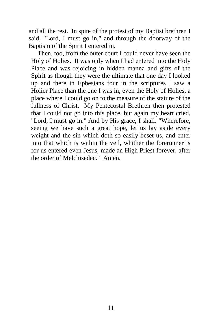and all the rest. In spite of the protest of my Baptist brethren I said, "Lord, I must go in," and through the doorway of the Baptism of the Spirit I entered in.

 Then, too, from the outer court I could never have seen the Holy of Holies. It was only when I had entered into the Holy Place and was rejoicing in hidden manna and gifts of the Spirit as though they were the ultimate that one day I looked up and there in Ephesians four in the scriptures I saw a Holier Place than the one I was in, even the Holy of Holies, a place where I could go on to the measure of the stature of the fullness of Christ. My Pentecostal Brethren then protested that I could not go into this place, but again my heart cried, "Lord, I must go in." And by His grace, I shall. "Wherefore, seeing we have such a great hope, let us lay aside every weight and the sin which doth so easily beset us, and enter into that which is within the veil, whither the forerunner is for us entered even Jesus, made an High Priest forever, after the order of Melchisedec." Amen.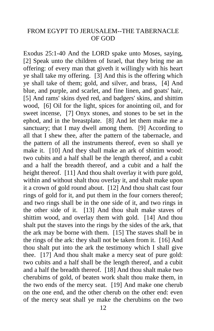#### FROM EGYPT TO JERUSALEM--THE TABERNACLE OF GOD

Exodus 25:1-40 And the LORD spake unto Moses, saying, [2] Speak unto the children of Israel, that they bring me an offering: of every man that giveth it willingly with his heart ye shall take my offering. [3] And this is the offering which ye shall take of them; gold, and silver, and brass, [4] And blue, and purple, and scarlet, and fine linen, and goats' hair, [5] And rams' skins dyed red, and badgers' skins, and shittim wood, [6] Oil for the light, spices for anointing oil, and for sweet incense, [7] Onyx stones, and stones to be set in the ephod, and in the breastplate. [8] And let them make me a sanctuary; that I may dwell among them. [9] According to all that I shew thee, after the pattern of the tabernacle, and the pattern of all the instruments thereof, even so shall ye make it. [10] And they shall make an ark of shittim wood: two cubits and a half shall be the length thereof, and a cubit and a half the breadth thereof, and a cubit and a half the height thereof. [11] And thou shalt overlay it with pure gold, within and without shalt thou overlay it, and shalt make upon it a crown of gold round about. [12] And thou shalt cast four rings of gold for it, and put them in the four corners thereof; and two rings shall be in the one side of it, and two rings in the other side of it. [13] And thou shalt make staves of shittim wood, and overlay them with gold. [14] And thou shalt put the staves into the rings by the sides of the ark, that the ark may be borne with them. [15] The staves shall be in the rings of the ark: they shall not be taken from it. [16] And thou shalt put into the ark the testimony which I shall give thee. [17] And thou shalt make a mercy seat of pure gold: two cubits and a half shall be the length thereof, and a cubit and a half the breadth thereof. [18] And thou shalt make two cherubims of gold, of beaten work shalt thou make them, in the two ends of the mercy seat. [19] And make one cherub on the one end, and the other cherub on the other end: even of the mercy seat shall ye make the cherubims on the two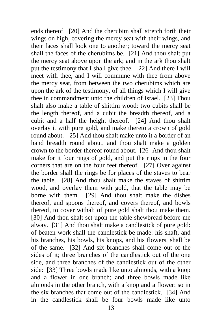ends thereof. [20] And the cherubim shall stretch forth their wings on high, covering the mercy seat with their wings, and their faces shall look one to another; toward the mercy seat shall the faces of the cherubims be. [21] And thou shalt put the mercy seat above upon the ark; and in the ark thou shalt put the testimony that I shall give thee. [22] And there I will meet with thee, and I will commune with thee from above the mercy seat, from between the two cherubims which are upon the ark of the testimony, of all things which I will give thee in commandment unto the children of Israel. [23] Thou shalt also make a table of shittim wood: two cubits shall be the length thereof, and a cubit the breadth thereof, and a cubit and a half the height thereof. [24] And thou shalt overlay it with pure gold, and make thereto a crown of gold round about. [25] And thou shalt make unto it a border of an hand breadth round about, and thou shalt make a golden crown to the border thereof round about. [26] And thou shalt make for it four rings of gold, and put the rings in the four corners that are on the four feet thereof. [27] Over against the border shall the rings be for places of the staves to bear the table. [28] And thou shalt make the staves of shittim wood, and overlay them with gold, that the table may be borne with them. [29] And thou shalt make the dishes thereof, and spoons thereof, and covers thereof, and bowls thereof, to cover withal: of pure gold shalt thou make them. [30] And thou shalt set upon the table shewbread before me alway. [31] And thou shalt make a candlestick of pure gold: of beaten work shall the candlestick be made: his shaft, and his branches, his bowls, his knops, and his flowers, shall be of the same. [32] And six branches shall come out of the sides of it; three branches of the candlestick out of the one side, and three branches of the candlestick out of the other side: [33] Three bowls made like unto almonds, with a knop and a flower in one branch; and three bowls made like almonds in the other branch, with a knop and a flower: so in the six branches that come out of the candlestick. [34] And in the candlestick shall be four bowls made like unto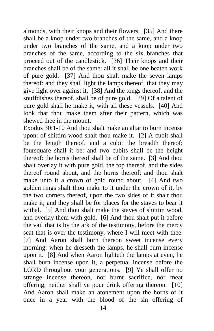almonds, with their knops and their flowers. [35] And there shall be a knop under two branches of the same, and a knop under two branches of the same, and a knop under two branches of the same, according to the six branches that proceed out of the candlestick. [36] Their knops and their branches shall be of the same: all it shall be one beaten work of pure gold. [37] And thou shalt make the seven lamps thereof: and they shall light the lamps thereof, that they may give light over against it. [38] And the tongs thereof, and the snuffdishes thereof, shall be of pure gold. [39] Of a talent of pure gold shall he make it, with all these vessels. [40] And look that thou make them after their pattern, which was shewed thee in the mount.

Exodus 30:1-10 And thou shalt make an altar to burn incense upon: of shittim wood shalt thou make it. [2] A cubit shall be the length thereof, and a cubit the breadth thereof; foursquare shall it be: and two cubits shall be the height thereof: the horns thereof shall be of the same. [3] And thou shalt overlay it with pure gold, the top thereof, and the sides thereof round about, and the horns thereof; and thou shalt make unto it a crown of gold round about. [4] And two golden rings shalt thou make to it under the crown of it, by the two corners thereof, upon the two sides of it shalt thou make it; and they shall be for places for the staves to bear it withal. [5] And thou shalt make the staves of shittim wood, and overlay them with gold. [6] And thou shalt put it before the vail that is by the ark of the testimony, before the mercy seat that is over the testimony, where I will meet with thee. [7] And Aaron shall burn thereon sweet incense every morning: when he dresseth the lamps, he shall burn incense upon it. [8] And when Aaron lighteth the lamps at even, he shall burn incense upon it, a perpetual incense before the LORD throughout your generations. [9] Ye shall offer no strange incense thereon, nor burnt sacrifice, nor meat offering; neither shall ye pour drink offering thereon. [10] And Aaron shall make an atonement upon the horns of it once in a year with the blood of the sin offering of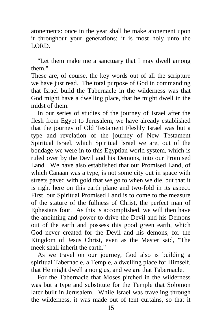atonements: once in the year shall he make atonement upon it throughout your generations: it is most holy unto the LORD.

 "Let them make me a sanctuary that I may dwell among them."

These are, of course, the key words out of all the scripture we have just read. The total purpose of God in commanding that Israel build the Tabernacle in the wilderness was that God might have a dwelling place, that he might dwell in the midst of them.

 In our series of studies of the journey of Israel after the flesh from Egypt to Jerusalem, we have already established that the journey of Old Testament Fleshly Israel was but a type and revelation of the journey of New Testament Spiritual Israel, which Spiritual Israel we are, out of the bondage we were in to this Egyptian world system, which is ruled over by the Devil and his Demons, into our Promised Land. We have also established that our Promised Land, of which Canaan was a type, is not some city out in space with streets paved with gold that we go to when we die, but that it is right here on this earth plane and two-fold in its aspect. First, our Spiritual Promised Land is to come to the measure of the stature of the fullness of Christ, the perfect man of Ephesians four. As this is accomplished, we will then have the anointing and power to drive the Devil and his Demons out of the earth and possess this good green earth, which God never created for the Devil and his demons, for the Kingdom of Jesus Christ, even as the Master said, "The meek shall inherit the earth."

 As we travel on our journey, God also is building a spiritual Tabernacle, a Temple, a dwelling place for Himself, that He might dwell among us, and we are that Tabernacle.

 For the Tabernacle that Moses pitched in the wilderness was but a type and substitute for the Temple that Solomon later built in Jerusalem. While Israel was traveling through the wilderness, it was made out of tent curtains, so that it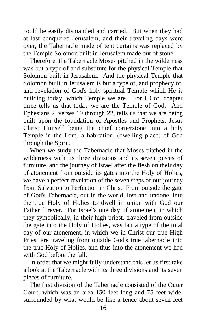could be easily dismantled and carried. But when they had at last conquered Jerusalem, and their traveling days were over, the Tabernacle made of tent curtains was replaced by the Temple Solomon built in Jerusalem made out of stone.

 Therefore, the Tabernacle Moses pitched in the wilderness was but a type of and substitute for the physical Temple that Solomon built in Jerusalem. And the physical Temple that Solomon built in Jerusalem is but a type of, and prophecy of, and revelation of God's holy spiritual Temple which He is building today, which Temple we are. For I Cor. chapter three tells us that today we are the Temple of God. And Ephesians 2, verses 19 through 22, tells us that we are being built upon the foundation of Apostles and Prophets, Jesus Christ Himself being the chief cornerstone into a holy Temple in the Lord, a habitation, (dwelling place) of God through the Spirit.

 When we study the Tabernacle that Moses pitched in the wilderness with its three divisions and its seven pieces of furniture, and the journey of Israel after the flesh on their day of atonement from outside its gates into the Holy of Holies, we have a perfect revelation of the seven steps of our journey from Salvation to Perfection in Christ. From outside the gate of God's Tabernacle, out in the world, lost and undone, into the true Holy of Holies to dwell in union with God our Father forever. For Israel's one day of atonement in which they symbolically, in their high priest, traveled from outside the gate into the Holy of Holies, was but a type of the total day of our atonement, in which we in Christ our true High Priest are traveling from outside God's true tabernacle into the true Holy of Holies, and thus into the atonement we had with God before the fall.

 In order that we might fully understand this let us first take a look at the Tabernacle with its three divisions and its seven pieces of furniture.

 The first division of the Tabernacle consisted of the Outer Court, which was an area 150 feet long and 75 feet wide, surrounded by what would be like a fence about seven feet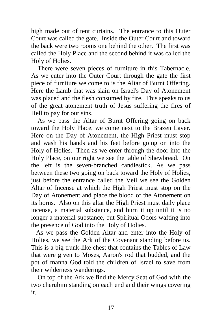high made out of tent curtains. The entrance to this Outer Court was called the gate. Inside the Outer Court and toward the back were two rooms one behind the other. The first was called the Holy Place and the second behind it was called the Holy of Holies.

 There were seven pieces of furniture in this Tabernacle. As we enter into the Outer Court through the gate the first piece of furniture we come to is the Altar of Burnt Offering. Here the Lamb that was slain on Israel's Day of Atonement was placed and the flesh consumed by fire. This speaks to us of the great atonement truth of Jesus suffering the fires of Hell to pay for our sins.

 As we pass the Altar of Burnt Offering going on back toward the Holy Place, we come next to the Brazen Laver. Here on the Day of Atonement, the High Priest must stop and wash his hands and his feet before going on into the Holy of Holies. Then as we enter through the door into the Holy Place, on our right we see the table of Shewbread. On the left is the seven-branched candlestick. As we pass between these two going on back toward the Holy of Holies, just before the entrance called the Veil we see the Golden Altar of Incense at which the High Priest must stop on the Day of Atonement and place the blood of the Atonement on its horns. Also on this altar the High Priest must daily place incense, a material substance, and burn it up until it is no longer a material substance, but Spiritual Odors wafting into the presence of God into the Holy of Holies.

 As we pass the Golden Altar and enter into the Holy of Holies, we see the Ark of the Covenant standing before us. This is a big trunk-like chest that contains the Tables of Law that were given to Moses, Aaron's rod that budded, and the pot of manna God told the children of Israel to save from their wilderness wanderings.

 On top of the Ark we find the Mercy Seat of God with the two cherubim standing on each end and their wings covering it.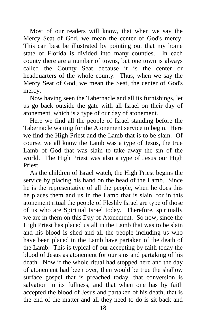Most of our readers will know, that when we say the Mercy Seat of God, we mean the center of God's mercy. This can best be illustrated by pointing out that my home state of Florida is divided into many counties. In each county there are a number of towns, but one town is always called the County Seat because it is the center or headquarters of the whole county. Thus, when we say the Mercy Seat of God, we mean the Seat, the center of God's mercy.

 Now having seen the Tabernacle and all its furnishings, let us go back outside the gate with all Israel on their day of atonement, which is a type of our day of atonement.

 Here we find all the people of Israel standing before the Tabernacle waiting for the Atonement service to begin. Here we find the High Priest and the Lamb that is to be slain. Of course, we all know the Lamb was a type of Jesus, the true Lamb of God that was slain to take away the sin of the world. The High Priest was also a type of Jesus our High Priest.

 As the children of Israel watch, the High Priest begins the service by placing his hand on the head of the Lamb. Since he is the representative of all the people, when he does this he places them and us in the Lamb that is slain, for in this atonement ritual the people of Fleshly Israel are type of those of us who are Spiritual Israel today. Therefore, spiritually we are in them on this Day of Atonement. So now, since the High Priest has placed us all in the Lamb that was to be slain and his blood is shed and all the people including us who have been placed in the Lamb have partaken of the death of the Lamb. This is typical of our accepting by faith today the blood of Jesus as atonement for our sins and partaking of his death. Now if the whole ritual had stopped here and the day of atonement had been over, then would be true the shallow surface gospel that is preached today, that conversion is salvation in its fullness, and that when one has by faith accepted the blood of Jesus and partaken of his death, that is the end of the matter and all they need to do is sit back and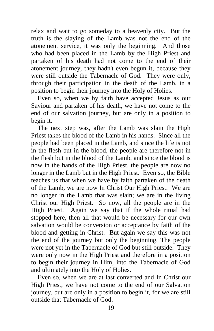relax and wait to go someday to a heavenly city. But the truth is the slaying of the Lamb was not the end of the atonement service, it was only the beginning. And those who had been placed in the Lamb by the High Priest and partaken of his death had not come to the end of their atonement journey, they hadn't even begun it, because they were still outside the Tabernacle of God. They were only, through their participation in the death of the Lamb, in a position to begin their journey into the Holy of Holies.

 Even so, when we by faith have accepted Jesus as our Saviour and partaken of his death, we have not come to the end of our salvation journey, but are only in a position to begin it.

 The next step was, after the Lamb was slain the High Priest takes the blood of the Lamb in his hands. Since all the people had been placed in the Lamb, and since the life is not in the flesh but in the blood, the people are therefore not in the flesh but in the blood of the Lamb, and since the blood is now in the hands of the High Priest, the people are now no longer in the Lamb but in the High Priest. Even so, the Bible teaches us that when we have by faith partaken of the death of the Lamb, we are now In Christ Our High Priest. We are no longer in the Lamb that was slain; we are in the living Christ our High Priest. So now, all the people are in the High Priest. Again we say that if the whole ritual had stopped here, then all that would be necessary for our own salvation would be conversion or acceptance by faith of the blood and getting in Christ. But again we say this was not the end of the journey but only the beginning. The people were not yet in the Tabernacle of God but still outside. They were only now in the High Priest and therefore in a position to begin their journey in Him, into the Tabernacle of God and ultimately into the Holy of Holies.

 Even so, when we are at last converted and In Christ our High Priest, we have not come to the end of our Salvation journey, but are only in a position to begin it, for we are still outside that Tabernacle of God.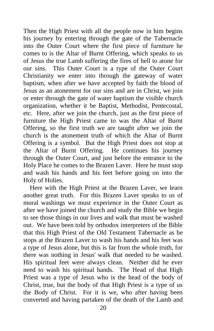Then the High Priest with all the people now in him begins his journey by entering through the gate of the Tabernacle into the Outer Court where the first piece of furniture he comes to is the Altar of Burnt Offering, which speaks to us of Jesus the true Lamb suffering the fires of hell to atone for our sins. This Outer Court is a type of the Outer Court Christianity we enter into through the gateway of water baptism, when after we have accepted by faith the blood of Jesus as an atonement for our sins and are in Christ, we join or enter through the gate of water baptism the visible church organization, whether it be Baptist, Methodist, Pentecostal, etc. Here, after we join the church, just as the first piece of furniture the High Priest came to was the Altar of Burnt Offering, so the first truth we are taught after we join the church is the atonement truth of which the Altar of Burnt Offering is a symbol. But the High Priest does not stop at the Altar of Burnt Offering. He continues his journey through the Outer Court, and just before the entrance to the Holy Place he comes to the Brazen Laver. Here he must stop and wash his hands and his feet before going on into the Holy of Holies.

 Here with the High Priest at the Brazen Laver, we learn another great truth. For this Brazen Laver speaks to us of moral washings we must experience in the Outer Court as after we have joined the church and study the Bible we begin to see those things in our lives and walk that must be washed out. We have been told by orthodox interpreters of the Bible that this High Priest of the Old Testament Tabernacle as he stops at the Brazen Laver to wash his hands and his feet was a type of Jesus alone, but this is far from the whole truth, for there was nothing in Jesus' walk that needed to be washed. His spiritual feet were always clean. Neither did he ever need to wash his spiritual hands. The Head of that High Priest was a type of Jesus who is the head of the body of Christ, true, but the body of that High Priest is a type of us the Body of Christ. For it is we, who after having been converted and having partaken of the death of the Lamb and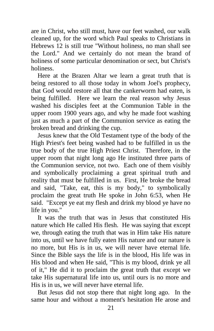are in Christ, who still must, have our feet washed, our walk cleaned up, for the word which Paul speaks to Christians in Hebrews 12 is still true "Without holiness, no man shall see the Lord." And we certainly do not mean the brand of holiness of some particular denomination or sect, but Christ's holiness.

 Here at the Brazen Altar we learn a great truth that is being restored to all those today in whom Joel's prophecy, that God would restore all that the cankerworm had eaten, is being fulfilled. Here we learn the real reason why Jesus washed his disciples feet at the Communion Table in the upper room 1900 years ago, and why he made foot washing just as much a part of the Communion service as eating the broken bread and drinking the cup.

 Jesus knew that the Old Testament type of the body of the High Priest's feet being washed had to be fulfilled in us the true body of the true High Priest Christ. Therefore, in the upper room that night long ago He instituted three parts of the Communion service, not two. Each one of them visibly and symbolically proclaiming a great spiritual truth and reality that must be fulfilled in us. First, He broke the bread and said, "Take, eat, this is my body," to symbolically proclaim the great truth He spoke in John 6:53, when He said. "Except ye eat my flesh and drink my blood ye have no life in you."

 It was the truth that was in Jesus that constituted His nature which He called His flesh. He was saying that except we, through eating the truth that was in Him take His nature into us, until we have fully eaten His nature and our nature is no more, but His is in us, we will never have eternal life. Since the Bible says the life is in the blood, His life was in His blood and when He said, "This is my blood, drink ye all of it," He did it to proclaim the great truth that except we take His supernatural life into us, until ours is no more and His is in us, we will never have eternal life.

 But Jesus did not stop there that night long ago. In the same hour and without a moment's hesitation He arose and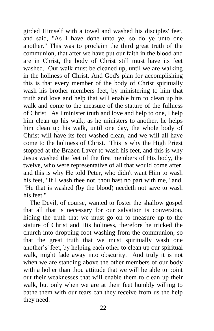girded Himself with a towel and washed his disciples' feet, and said, "As I have done unto ye, so do ye unto one another." This was to proclaim the third great truth of the communion, that after we have put our faith in the blood and are in Christ, the body of Christ still must have its feet washed. Our walk must be cleaned up, until we are walking in the holiness of Christ. And God's plan for accomplishing this is that every member of the body of Christ spiritually wash his brother members feet, by ministering to him that truth and love and help that will enable him to clean up his walk and come to the measure of the stature of the fullness of Christ. As I minister truth and love and help to one, I help him clean up his walk; as he ministers to another, he helps him clean up his walk, until one day, the whole body of Christ will have its feet washed clean, and we will all have come to the holiness of Christ. This is why the High Priest stopped at the Brazen Laver to wash his feet, and this is why Jesus washed the feet of the first members of His body, the twelve, who were representative of all that would come after, and this is why He told Peter, who didn't want Him to wash his feet, "If I wash thee not, thou hast no part with me," and, "He that is washed (by the blood) needeth not save to wash his feet."

 The Devil, of course, wanted to foster the shallow gospel that all that is necessary for our salvation is conversion, hiding the truth that we must go on to measure up to the stature of Christ and His holiness, therefore he tricked the church into dropping foot washing from the communion, so that the great truth that we must spiritually wash one another's' feet, by helping each other to clean up our spiritual walk, might fade away into obscurity. And truly it is not when we are standing above the other members of our body with a holier than thou attitude that we will be able to point out their weaknesses that will enable them to clean up their walk, but only when we are at their feet humbly willing to bathe them with our tears can they receive from us the help they need.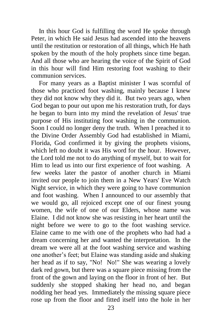In this hour God is fulfilling the word He spoke through Peter, in which He said Jesus had ascended into the heavens until the restitution or restoration of all things, which He hath spoken by the mouth of the holy prophets since time began. And all those who are hearing the voice of the Spirit of God in this hour will find Him restoring foot washing to their communion services.

For many years as a Baptist minister I was scornful of those who practiced foot washing, mainly because I knew they did not know why they did it. But two years ago, when God began to pour out upon me his restoration truth, for days he began to burn into my mind the revelation of Jesus' true purpose of His instituting foot washing in the communion. Soon I could no longer deny the truth. When I preached it to the Divine Order Assembly God had established in Miami, Florida, God confirmed it by giving the prophets visions, which left no doubt it was His word for the hour. However, the Lord told me not to do anything of myself, but to wait for Him to lead us into our first experience of foot washing. A few weeks later the pastor of another church in Miami invited our people to join them in a New Years' Eve Watch Night service, in which they were going to have communion and foot washing. When I announced to our assembly that we would go, all rejoiced except one of our finest young women, the wife of one of our Elders, whose name was Elaine. I did not know she was resisting in her heart until the night before we were to go to the foot washing service. Elaine came to me with one of the prophets who had had a dream concerning her and wanted the interpretation. In the dream we were all at the foot washing service and washing one another's feet; but Elaine was standing aside and shaking her head as if to say, "No! No!" She was wearing a lovely dark red gown, but there was a square piece missing from the front of the gown and laying on the floor in front of her. But suddenly she stopped shaking her head no, and began nodding her head yes. Immediately the missing square piece rose up from the floor and fitted itself into the hole in her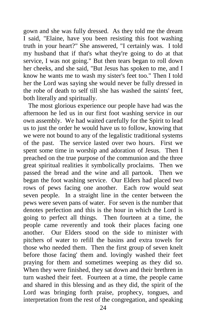gown and she was fully dressed. As they told me the dream I said, "Elaine, have you been resisting this foot washing truth in your heart?" She answered, "I certainly was. I told my husband that if that's what they're going to do at that service, I was not going." But then tears began to roll down her cheeks, and she said, "But Jesus has spoken to me, and I know he wants me to wash my sister's feet too." Then I told her the Lord was saying she would never be fully dressed in the robe of death to self till she has washed the saints' feet, both literally and spiritually.

 The most glorious experience our people have had was the afternoon he led us in our first foot washing service in our own assembly. We had waited carefully for the Spirit to lead us to just the order he would have us to follow, knowing that we were not bound to any of the legalistic traditional systems of the past. The service lasted over two hours. First we spent some time in worship and adoration of Jesus. Then I preached on the true purpose of the communion and the three great spiritual realities it symbolically proclaims. Then we passed the bread and the wine and all partook. Then we began the foot washing service. Our Elders had placed two rows of pews facing one another. Each row would seat seven people. In a straight line in the center between the pews were seven pans of water. For seven is the number that denotes perfection and this is the hour in which the Lord is going to perfect all things. Then fourteen at a time, the people came reverently and took their places facing one another. Our Elders stood on the side to minister with pitchers of water to refill the basins and extra towels for those who needed them. Then the first group of seven knelt before those facing' them and. lovingly washed their feet praying for them and sometimes weeping as they did so. When they were finished, they sat down and their brethren in turn washed their feet. Fourteen at a time, the people came and shared in this blessing and as they did, the spirit of the Lord was bringing forth praise, prophecy, tongues, and interpretation from the rest of the congregation, and speaking